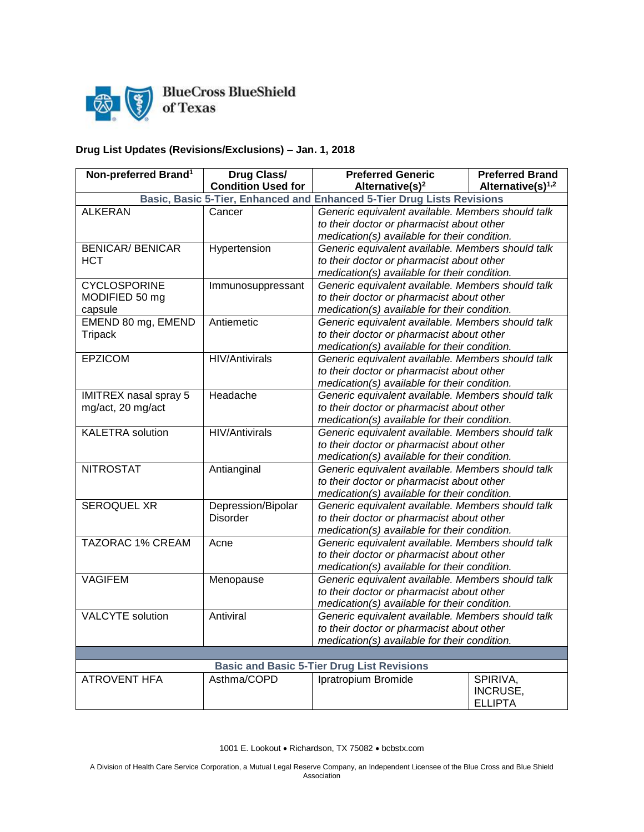

BlueCross BlueShield<br>of Texas

## **Drug List Updates (Revisions/Exclusions) – Jan. 1, 2018**

| Non-preferred Brand <sup>1</sup> | <b>Drug Class/</b>                | <b>Preferred Generic</b>                                     | <b>Preferred Brand</b> |
|----------------------------------|-----------------------------------|--------------------------------------------------------------|------------------------|
|                                  | <b>Condition Used for</b>         | Alternative(s) <sup>1,2</sup><br>Alternative(s) <sup>2</sup> |                        |
|                                  | Basic, Basic 5-Tier, Enhanced and | <b>Enhanced 5-Tier Drug Lists Revisions</b>                  |                        |
| <b>ALKERAN</b>                   | Cancer                            | Generic equivalent available. Members should talk            |                        |
|                                  |                                   | to their doctor or pharmacist about other                    |                        |
|                                  |                                   | medication(s) available for their condition.                 |                        |
| <b>BENICAR/ BENICAR</b>          | Hypertension                      | Generic equivalent available. Members should talk            |                        |
| <b>HCT</b>                       |                                   | to their doctor or pharmacist about other                    |                        |
|                                  |                                   | medication(s) available for their condition.                 |                        |
| <b>CYCLOSPORINE</b>              | Immunosuppressant                 | Generic equivalent available. Members should talk            |                        |
| MODIFIED 50 mg                   |                                   | to their doctor or pharmacist about other                    |                        |
| capsule                          |                                   | medication(s) available for their condition.                 |                        |
| EMEND 80 mg, EMEND               | Antiemetic                        | Generic equivalent available. Members should talk            |                        |
| <b>Tripack</b>                   |                                   | to their doctor or pharmacist about other                    |                        |
|                                  |                                   | medication(s) available for their condition.                 |                        |
| <b>EPZICOM</b>                   | <b>HIV/Antivirals</b>             | Generic equivalent available. Members should talk            |                        |
|                                  |                                   | to their doctor or pharmacist about other                    |                        |
|                                  |                                   | medication(s) available for their condition.                 |                        |
| <b>IMITREX nasal spray 5</b>     | Headache                          | Generic equivalent available. Members should talk            |                        |
| mg/act, 20 mg/act                |                                   | to their doctor or pharmacist about other                    |                        |
|                                  |                                   | medication(s) available for their condition.                 |                        |
| <b>KALETRA</b> solution          | <b>HIV/Antivirals</b>             | Generic equivalent available. Members should talk            |                        |
|                                  |                                   | to their doctor or pharmacist about other                    |                        |
|                                  |                                   | medication(s) available for their condition.                 |                        |
| <b>NITROSTAT</b>                 | Antianginal                       | Generic equivalent available. Members should talk            |                        |
|                                  |                                   | to their doctor or pharmacist about other                    |                        |
|                                  |                                   | medication(s) available for their condition.                 |                        |
| <b>SEROQUEL XR</b>               | Depression/Bipolar                | Generic equivalent available. Members should talk            |                        |
|                                  | <b>Disorder</b>                   | to their doctor or pharmacist about other                    |                        |
|                                  |                                   | medication(s) available for their condition.                 |                        |
| <b>TAZORAC 1% CREAM</b>          | Acne                              | Generic equivalent available. Members should talk            |                        |
|                                  |                                   | to their doctor or pharmacist about other                    |                        |
|                                  |                                   | medication(s) available for their condition.                 |                        |
| <b>VAGIFEM</b>                   | Menopause                         | Generic equivalent available. Members should talk            |                        |
|                                  |                                   | to their doctor or pharmacist about other                    |                        |
|                                  |                                   | medication(s) available for their condition.                 |                        |
| <b>VALCYTE</b> solution          | Antiviral                         | Generic equivalent available. Members should talk            |                        |
|                                  |                                   | to their doctor or pharmacist about other                    |                        |
|                                  |                                   | medication(s) available for their condition.                 |                        |
|                                  |                                   |                                                              |                        |
|                                  |                                   | <b>Basic and Basic 5-Tier Drug List Revisions</b>            |                        |
| <b>ATROVENT HFA</b>              | Asthma/COPD                       | <b>Ipratropium Bromide</b>                                   | SPIRIVA,               |
|                                  |                                   |                                                              | INCRUSE,               |
|                                  |                                   |                                                              | <b>ELLIPTA</b>         |

1001 E. Lookout • Richardson, TX 75082 • bcbstx.com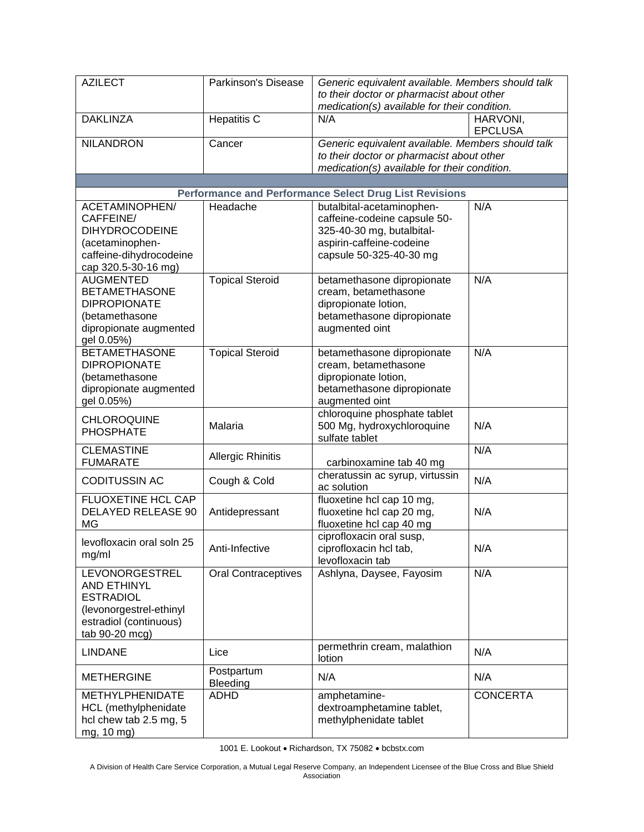| <b>AZILECT</b>                                                                                                                  | Parkinson's Disease        | Generic equivalent available. Members should talk<br>to their doctor or pharmacist about other<br>medication(s) available for their condition. |                            |
|---------------------------------------------------------------------------------------------------------------------------------|----------------------------|------------------------------------------------------------------------------------------------------------------------------------------------|----------------------------|
| <b>DAKLINZA</b>                                                                                                                 | <b>Hepatitis C</b>         | N/A                                                                                                                                            | HARVONI,<br><b>EPCLUSA</b> |
| <b>NILANDRON</b>                                                                                                                | Cancer                     | Generic equivalent available. Members should talk<br>to their doctor or pharmacist about other<br>medication(s) available for their condition. |                            |
|                                                                                                                                 |                            |                                                                                                                                                |                            |
| ACETAMINOPHEN/                                                                                                                  | Headache                   | <b>Performance and Performance Select Drug List Revisions</b><br>butalbital-acetaminophen-                                                     | N/A                        |
| CAFFEINE/<br><b>DIHYDROCODEINE</b><br>(acetaminophen-<br>caffeine-dihydrocodeine<br>cap 320.5-30-16 mg)                         |                            | caffeine-codeine capsule 50-<br>325-40-30 mg, butalbital-<br>aspirin-caffeine-codeine<br>capsule 50-325-40-30 mg                               |                            |
| <b>AUGMENTED</b><br><b>BETAMETHASONE</b><br><b>DIPROPIONATE</b><br>(betamethasone<br>dipropionate augmented<br>gel 0.05%)       | <b>Topical Steroid</b>     | betamethasone dipropionate<br>cream, betamethasone<br>dipropionate lotion,<br>betamethasone dipropionate<br>augmented oint                     | N/A                        |
| <b>BETAMETHASONE</b><br><b>DIPROPIONATE</b><br>(betamethasone<br>dipropionate augmented<br>gel 0.05%)                           | <b>Topical Steroid</b>     | betamethasone dipropionate<br>cream, betamethasone<br>dipropionate lotion,<br>betamethasone dipropionate<br>augmented oint                     | N/A                        |
| <b>CHLOROQUINE</b><br><b>PHOSPHATE</b>                                                                                          | Malaria                    | chloroquine phosphate tablet<br>500 Mg, hydroxychloroquine<br>sulfate tablet                                                                   | N/A                        |
| <b>CLEMASTINE</b><br><b>FUMARATE</b>                                                                                            | <b>Allergic Rhinitis</b>   | carbinoxamine tab 40 mg                                                                                                                        | N/A                        |
| <b>CODITUSSIN AC</b>                                                                                                            | Cough & Cold               | cheratussin ac syrup, virtussin<br>ac solution                                                                                                 | N/A                        |
| FLUOXETINE HCL CAP<br><b>DELAYED RELEASE 90</b><br>MG                                                                           | Antidepressant             | fluoxetine hcl cap 10 mg,<br>fluoxetine hcl cap 20 mg,<br>fluoxetine hcl cap 40 mg                                                             | N/A                        |
| levofloxacin oral soln 25<br>mg/ml                                                                                              | Anti-Infective             | ciprofloxacin oral susp,<br>ciprofloxacin hcl tab,<br>levofloxacin tab                                                                         | N/A                        |
| LEVONORGESTREL<br><b>AND ETHINYL</b><br><b>ESTRADIOL</b><br>(levonorgestrel-ethinyl<br>estradiol (continuous)<br>tab 90-20 mcg) | <b>Oral Contraceptives</b> | Ashlyna, Daysee, Fayosim                                                                                                                       | N/A                        |
| <b>LINDANE</b>                                                                                                                  | Lice                       | permethrin cream, malathion<br>lotion                                                                                                          | N/A                        |
| <b>METHERGINE</b>                                                                                                               | Postpartum<br>Bleeding     | N/A                                                                                                                                            | N/A                        |
| <b>METHYLPHENIDATE</b><br>HCL (methylphenidate<br>hcl chew tab 2.5 mg, 5<br>mg, 10 mg)                                          | <b>ADHD</b>                | amphetamine-<br>dextroamphetamine tablet,<br>methylphenidate tablet                                                                            | <b>CONCERTA</b>            |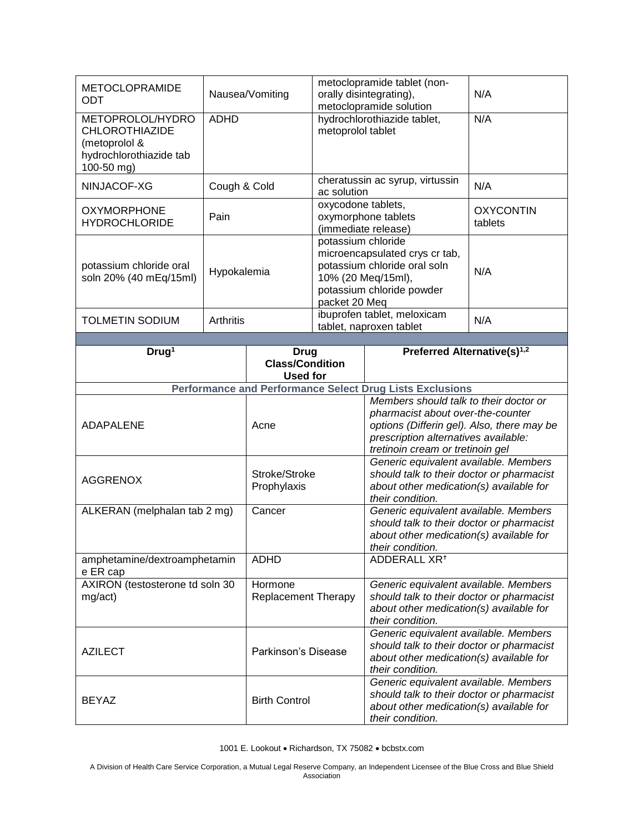| <b>METOCLOPRAMIDE</b><br>ODT                                                          | Nausea/Vomiting |                                                          | metoclopramide tablet (non-<br>orally disintegrating),<br>metoclopramide solution                                                                        |                                                                                                                                                                                                       | N/A                         |  |
|---------------------------------------------------------------------------------------|-----------------|----------------------------------------------------------|----------------------------------------------------------------------------------------------------------------------------------------------------------|-------------------------------------------------------------------------------------------------------------------------------------------------------------------------------------------------------|-----------------------------|--|
| METOPROLOL/HYDRO<br><b>CHLOROTHIAZIDE</b><br>(metoprolol &<br>hydrochlorothiazide tab | <b>ADHD</b>     |                                                          | metoprolol tablet                                                                                                                                        | hydrochlorothiazide tablet,                                                                                                                                                                           | N/A                         |  |
| 100-50 mg)<br>NINJACOF-XG                                                             | Cough & Cold    |                                                          | cheratussin ac syrup, virtussin<br>ac solution                                                                                                           |                                                                                                                                                                                                       | N/A                         |  |
| <b>OXYMORPHONE</b><br><b>HYDROCHLORIDE</b>                                            | Pain            |                                                          | oxycodone tablets,<br>oxymorphone tablets<br>(immediate release)                                                                                         |                                                                                                                                                                                                       | <b>OXYCONTIN</b><br>tablets |  |
| potassium chloride oral<br>soln 20% (40 mEq/15ml)                                     | Hypokalemia     |                                                          | potassium chloride<br>microencapsulated crys cr tab,<br>potassium chloride oral soln<br>10% (20 Meq/15ml),<br>potassium chloride powder<br>packet 20 Meq |                                                                                                                                                                                                       | N/A                         |  |
| <b>TOLMETIN SODIUM</b>                                                                | Arthritis       |                                                          |                                                                                                                                                          | ibuprofen tablet, meloxicam<br>tablet, naproxen tablet                                                                                                                                                | N/A                         |  |
|                                                                                       |                 |                                                          |                                                                                                                                                          |                                                                                                                                                                                                       |                             |  |
| Drug <sup>1</sup>                                                                     |                 | <b>Drug</b><br><b>Class/Condition</b><br><b>Used for</b> |                                                                                                                                                          | Preferred Alternative(s) <sup>1,2</sup>                                                                                                                                                               |                             |  |
|                                                                                       |                 |                                                          |                                                                                                                                                          | <b>Performance and Performance Select Drug Lists Exclusions</b>                                                                                                                                       |                             |  |
| <b>ADAPALENE</b>                                                                      |                 | Acne                                                     |                                                                                                                                                          | Members should talk to their doctor or<br>pharmacist about over-the-counter<br>options (Differin gel). Also, there may be<br>prescription alternatives available:<br>tretinoin cream or tretinoin gel |                             |  |
| <b>AGGRENOX</b>                                                                       |                 | Stroke/Stroke<br>Prophylaxis                             |                                                                                                                                                          | Generic equivalent available. Members<br>should talk to their doctor or pharmacist<br>about other medication(s) available for<br>their condition.                                                     |                             |  |
| ALKERAN (melphalan tab 2 mg)                                                          |                 | Cancer                                                   |                                                                                                                                                          | Generic equivalent available. Members<br>should talk to their doctor or pharmacist<br>about other medication(s) available for<br>their condition.                                                     |                             |  |
| amphetamine/dextroamphetamin<br>e ER cap                                              |                 | <b>ADHD</b>                                              |                                                                                                                                                          | ADDERALL XR <sup>+</sup>                                                                                                                                                                              |                             |  |
| AXIRON (testosterone td soln 30<br>mg/act)                                            |                 | Hormone<br><b>Replacement Therapy</b>                    |                                                                                                                                                          | Generic equivalent available. Members<br>should talk to their doctor or pharmacist<br>about other medication(s) available for<br>their condition.                                                     |                             |  |
| <b>AZILECT</b>                                                                        |                 | Parkinson's Disease                                      |                                                                                                                                                          | Generic equivalent available. Members<br>should talk to their doctor or pharmacist<br>about other medication(s) available for<br>their condition.                                                     |                             |  |
| <b>BEYAZ</b>                                                                          |                 | <b>Birth Control</b>                                     |                                                                                                                                                          | Generic equivalent available. Members<br>should talk to their doctor or pharmacist<br>about other medication(s) available for<br>their condition.                                                     |                             |  |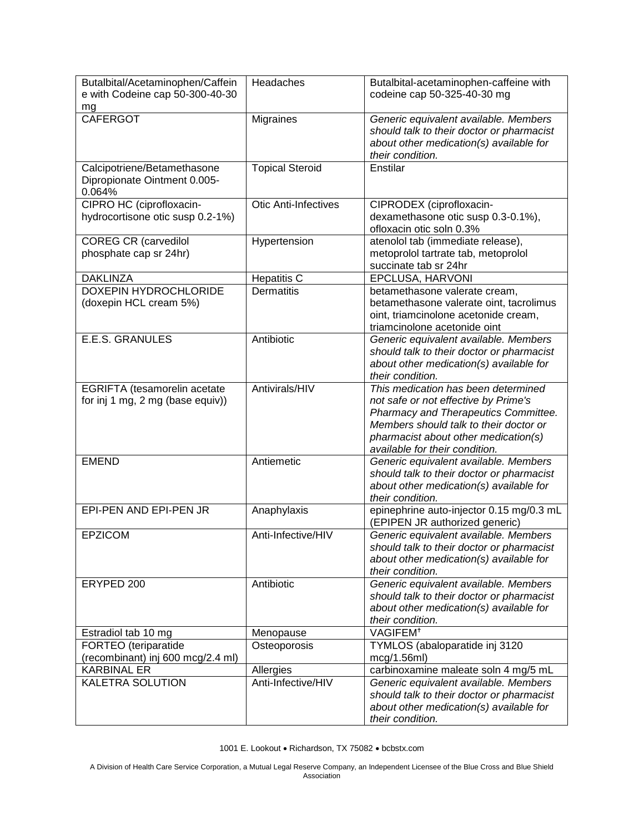| Butalbital/Acetaminophen/Caffein<br>e with Codeine cap 50-300-40-30   | Headaches                   | Butalbital-acetaminophen-caffeine with<br>codeine cap 50-325-40-30 mg                                                                                                                                                                   |
|-----------------------------------------------------------------------|-----------------------------|-----------------------------------------------------------------------------------------------------------------------------------------------------------------------------------------------------------------------------------------|
| mg                                                                    |                             |                                                                                                                                                                                                                                         |
| <b>CAFERGOT</b>                                                       | Migraines                   | Generic equivalent available. Members<br>should talk to their doctor or pharmacist<br>about other medication(s) available for<br>their condition.                                                                                       |
| Calcipotriene/Betamethasone<br>Dipropionate Ointment 0.005-<br>0.064% | <b>Topical Steroid</b>      | Enstilar                                                                                                                                                                                                                                |
| CIPRO HC (ciprofloxacin-<br>hydrocortisone otic susp 0.2-1%)          | <b>Otic Anti-Infectives</b> | CIPRODEX (ciprofloxacin-<br>dexamethasone otic susp 0.3-0.1%),<br>ofloxacin otic soln 0.3%                                                                                                                                              |
| <b>COREG CR (carvedilol</b><br>phosphate cap sr 24hr)                 | Hypertension                | atenolol tab (immediate release),<br>metoprolol tartrate tab, metoprolol<br>succinate tab sr 24hr                                                                                                                                       |
| <b>DAKLINZA</b>                                                       | <b>Hepatitis C</b>          | EPCLUSA, HARVONI                                                                                                                                                                                                                        |
| <b>DOXEPIN HYDROCHLORIDE</b><br>(doxepin HCL cream 5%)                | <b>Dermatitis</b>           | betamethasone valerate cream,<br>betamethasone valerate oint, tacrolimus<br>oint, triamcinolone acetonide cream,<br>triamcinolone acetonide oint                                                                                        |
| <b>E.E.S. GRANULES</b>                                                | Antibiotic                  | Generic equivalent available. Members<br>should talk to their doctor or pharmacist<br>about other medication(s) available for<br>their condition.                                                                                       |
| EGRIFTA (tesamorelin acetate<br>for inj 1 mg, 2 mg (base equiv))      | Antivirals/HIV              | This medication has been determined<br>not safe or not effective by Prime's<br>Pharmacy and Therapeutics Committee.<br>Members should talk to their doctor or<br>pharmacist about other medication(s)<br>available for their condition. |
| <b>EMEND</b>                                                          | Antiemetic                  | Generic equivalent available. Members<br>should talk to their doctor or pharmacist<br>about other medication(s) available for<br>their condition.                                                                                       |
| EPI-PEN AND EPI-PEN JR                                                | Anaphylaxis                 | epinephrine auto-injector 0.15 mg/0.3 mL<br>(EPIPEN JR authorized generic)                                                                                                                                                              |
| <b>EPZICOM</b>                                                        | Anti-Infective/HIV          | Generic equivalent available. Members<br>should talk to their doctor or pharmacist<br>about other medication(s) available for<br>their condition.                                                                                       |
| ERYPED 200                                                            | Antibiotic                  | Generic equivalent available. Members<br>should talk to their doctor or pharmacist<br>about other medication(s) available for<br>their condition.                                                                                       |
| Estradiol tab 10 mg                                                   | Menopause                   | VAGIFEM <sup>+</sup>                                                                                                                                                                                                                    |
| FORTEO (teriparatide<br>(recombinant) inj 600 mcg/2.4 ml)             | Osteoporosis                | TYMLOS (abaloparatide inj 3120<br>mcg/1.56ml)                                                                                                                                                                                           |
| <b>KARBINAL ER</b>                                                    | Allergies                   | carbinoxamine maleate soln 4 mg/5 mL                                                                                                                                                                                                    |
| KALETRA SOLUTION                                                      | Anti-Infective/HIV          | Generic equivalent available. Members<br>should talk to their doctor or pharmacist<br>about other medication(s) available for<br>their condition.                                                                                       |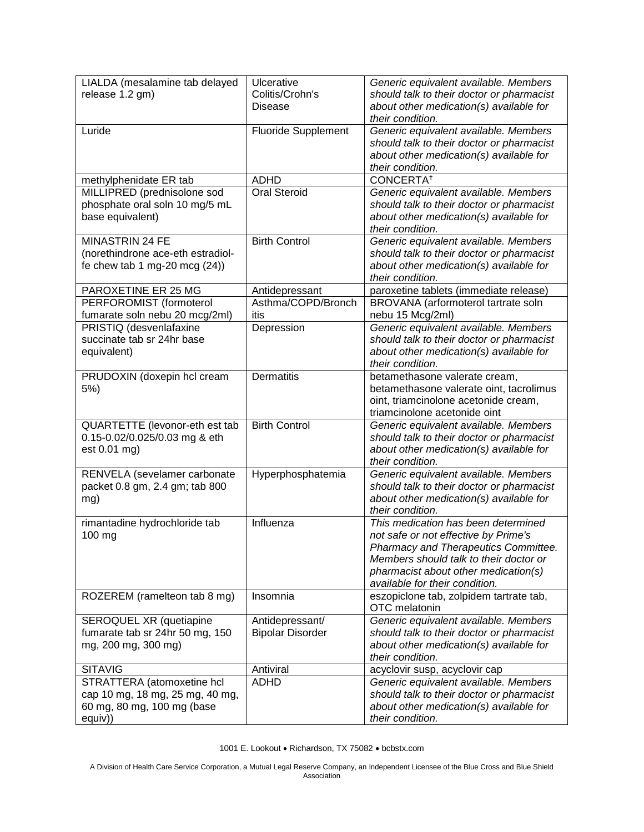| LIALDA (mesalamine tab delayed                | Ulcerative                 | Generic equivalent available. Members                                                |
|-----------------------------------------------|----------------------------|--------------------------------------------------------------------------------------|
| release 1.2 gm)                               | Colitis/Crohn's            | should talk to their doctor or pharmacist                                            |
|                                               | Disease                    | about other medication(s) available for                                              |
|                                               |                            | their condition.                                                                     |
| Luride                                        | <b>Fluoride Supplement</b> | Generic equivalent available. Members                                                |
|                                               |                            | should talk to their doctor or pharmacist                                            |
|                                               |                            | about other medication(s) available for                                              |
|                                               |                            | their condition.                                                                     |
| methylphenidate ER tab                        | <b>ADHD</b>                | <b>CONCERTA<sup>†</sup></b>                                                          |
| MILLIPRED (prednisolone sod                   | Oral Steroid               | Generic equivalent available. Members                                                |
| phosphate oral soln 10 mg/5 mL                |                            | should talk to their doctor or pharmacist                                            |
| base equivalent)                              |                            | about other medication(s) available for                                              |
|                                               |                            | their condition.                                                                     |
| MINASTRIN 24 FE                               | <b>Birth Control</b>       | Generic equivalent available. Members                                                |
| (norethindrone ace-eth estradiol-             |                            | should talk to their doctor or pharmacist                                            |
| fe chew tab 1 mg-20 mcg $(24)$ )              |                            | about other medication(s) available for                                              |
|                                               |                            | their condition.                                                                     |
| PAROXETINE ER 25 MG                           | Antidepressant             | paroxetine tablets (immediate release)                                               |
| PERFOROMIST (formoterol                       | Asthma/COPD/Bronch         | BROVANA (arformoterol tartrate soln                                                  |
| fumarate soln nebu 20 mcg/2ml)                | itis                       | nebu 15 Mcg/2ml)                                                                     |
| PRISTIQ (desvenlafaxine                       | Depression                 | Generic equivalent available. Members                                                |
| succinate tab sr 24hr base                    |                            | should talk to their doctor or pharmacist                                            |
| equivalent)                                   |                            | about other medication(s) available for                                              |
|                                               |                            | their condition.                                                                     |
| PRUDOXIN (doxepin hcl cream                   | Dermatitis                 | betamethasone valerate cream,                                                        |
| $5%$ )                                        |                            | betamethasone valerate oint, tacrolimus                                              |
|                                               |                            | oint, triamcinolone acetonide cream,                                                 |
|                                               | <b>Birth Control</b>       | triamcinolone acetonide oint                                                         |
| QUARTETTE (levonor-eth est tab                |                            | Generic equivalent available. Members                                                |
| 0.15-0.02/0.025/0.03 mg & eth<br>est 0.01 mg) |                            | should talk to their doctor or pharmacist<br>about other medication(s) available for |
|                                               |                            | their condition.                                                                     |
| RENVELA (sevelamer carbonate                  | Hyperphosphatemia          | Generic equivalent available. Members                                                |
| packet 0.8 gm, 2.4 gm; tab 800                |                            | should talk to their doctor or pharmacist                                            |
| mg)                                           |                            | about other medication(s) available for                                              |
|                                               |                            | their condition.                                                                     |
| rimantadine hydrochloride tab                 | Influenza                  | This medication has been determined                                                  |
| 100 mg                                        |                            | not safe or not effective by Prime's                                                 |
|                                               |                            | Pharmacy and Therapeutics Committee.                                                 |
|                                               |                            | Members should talk to their doctor or                                               |
|                                               |                            | pharmacist about other medication(s)                                                 |
|                                               |                            | available for their condition.                                                       |
| ROZEREM (ramelteon tab 8 mg)                  | Insomnia                   | eszopiclone tab, zolpidem tartrate tab,                                              |
|                                               |                            | OTC melatonin                                                                        |
| SEROQUEL XR (quetiapine                       | Antidepressant/            | Generic equivalent available. Members                                                |
| fumarate tab sr 24hr 50 mg, 150               | <b>Bipolar Disorder</b>    | should talk to their doctor or pharmacist                                            |
| mg, 200 mg, 300 mg)                           |                            | about other medication(s) available for                                              |
|                                               |                            | their condition.                                                                     |
| <b>SITAVIG</b>                                | Antiviral                  | acyclovir susp, acyclovir cap                                                        |
| STRATTERA (atomoxetine hcl                    | <b>ADHD</b>                | Generic equivalent available. Members                                                |
| cap 10 mg, 18 mg, 25 mg, 40 mg,               |                            | should talk to their doctor or pharmacist                                            |
| 60 mg, 80 mg, 100 mg (base                    |                            | about other medication(s) available for                                              |
| equiv))                                       |                            | their condition.                                                                     |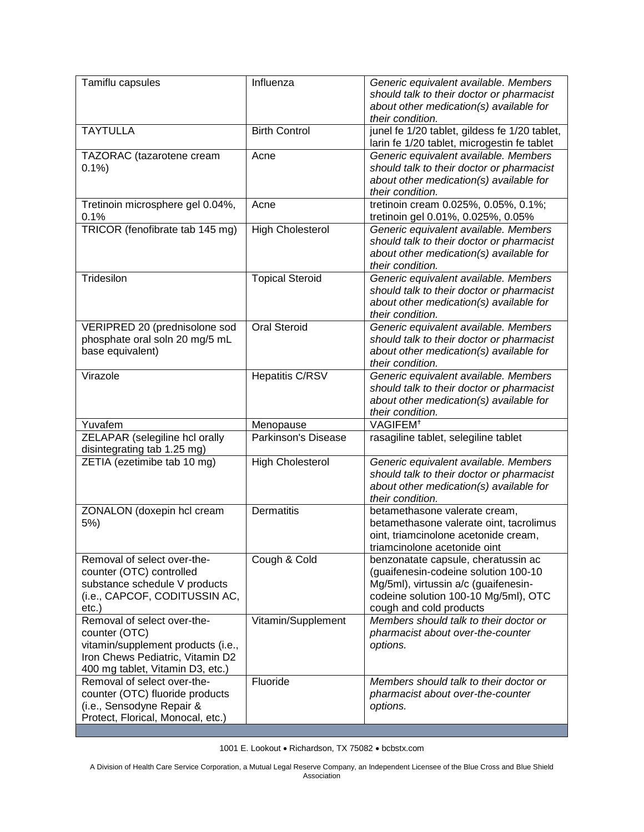| Tamiflu capsules                                                                                                                                           | Influenza               | Generic equivalent available. Members<br>should talk to their doctor or pharmacist<br>about other medication(s) available for<br>their condition.                                      |
|------------------------------------------------------------------------------------------------------------------------------------------------------------|-------------------------|----------------------------------------------------------------------------------------------------------------------------------------------------------------------------------------|
| <b>TAYTULLA</b>                                                                                                                                            | <b>Birth Control</b>    | junel fe 1/20 tablet, gildess fe 1/20 tablet,<br>larin fe 1/20 tablet, microgestin fe tablet                                                                                           |
| TAZORAC (tazarotene cream<br>0.1%                                                                                                                          | Acne                    | Generic equivalent available. Members<br>should talk to their doctor or pharmacist<br>about other medication(s) available for<br>their condition.                                      |
| Tretinoin microsphere gel 0.04%,<br>0.1%                                                                                                                   | Acne                    | tretinoin cream 0.025%, 0.05%, 0.1%;<br>tretinoin gel 0.01%, 0.025%, 0.05%                                                                                                             |
| TRICOR (fenofibrate tab 145 mg)                                                                                                                            | <b>High Cholesterol</b> | Generic equivalent available. Members<br>should talk to their doctor or pharmacist<br>about other medication(s) available for<br>their condition.                                      |
| Tridesilon                                                                                                                                                 | <b>Topical Steroid</b>  | Generic equivalent available. Members<br>should talk to their doctor or pharmacist<br>about other medication(s) available for<br>their condition.                                      |
| VERIPRED 20 (prednisolone sod<br>phosphate oral soln 20 mg/5 mL<br>base equivalent)                                                                        | <b>Oral Steroid</b>     | Generic equivalent available. Members<br>should talk to their doctor or pharmacist<br>about other medication(s) available for<br>their condition.                                      |
| Virazole                                                                                                                                                   | <b>Hepatitis C/RSV</b>  | Generic equivalent available. Members<br>should talk to their doctor or pharmacist<br>about other medication(s) available for<br>their condition.                                      |
| Yuvafem                                                                                                                                                    | Menopause               | VAGIFEM <sup>+</sup>                                                                                                                                                                   |
| ZELAPAR (selegiline hcl orally<br>disintegrating tab 1.25 mg)                                                                                              | Parkinson's Disease     | rasagiline tablet, selegiline tablet                                                                                                                                                   |
| ZETIA (ezetimibe tab 10 mg)                                                                                                                                | <b>High Cholesterol</b> | Generic equivalent available. Members<br>should talk to their doctor or pharmacist<br>about other medication(s) available for<br>their condition.                                      |
| ZONALON (doxepin hcl cream<br>$5%$ )                                                                                                                       | Dermatitis              | betamethasone valerate cream,<br>betamethasone valerate oint, tacrolimus<br>oint, triamcinolone acetonide cream,<br>triamcinolone acetonide oint                                       |
| Removal of select over-the-<br>counter (OTC) controlled<br>substance schedule V products<br>(i.e., CAPCOF, CODITUSSIN AC,<br>$etc.$ )                      | Cough & Cold            | benzonatate capsule, cheratussin ac<br>(guaifenesin-codeine solution 100-10<br>Mg/5ml), virtussin a/c (guaifenesin-<br>codeine solution 100-10 Mg/5ml), OTC<br>cough and cold products |
| Removal of select over-the-<br>counter (OTC)<br>vitamin/supplement products (i.e.,<br>Iron Chews Pediatric, Vitamin D2<br>400 mg tablet, Vitamin D3, etc.) | Vitamin/Supplement      | Members should talk to their doctor or<br>pharmacist about over-the-counter<br>options.                                                                                                |
| Removal of select over-the-<br>counter (OTC) fluoride products<br>(i.e., Sensodyne Repair &<br>Protect, Florical, Monocal, etc.)                           | Fluoride                | Members should talk to their doctor or<br>pharmacist about over-the-counter<br>options.                                                                                                |